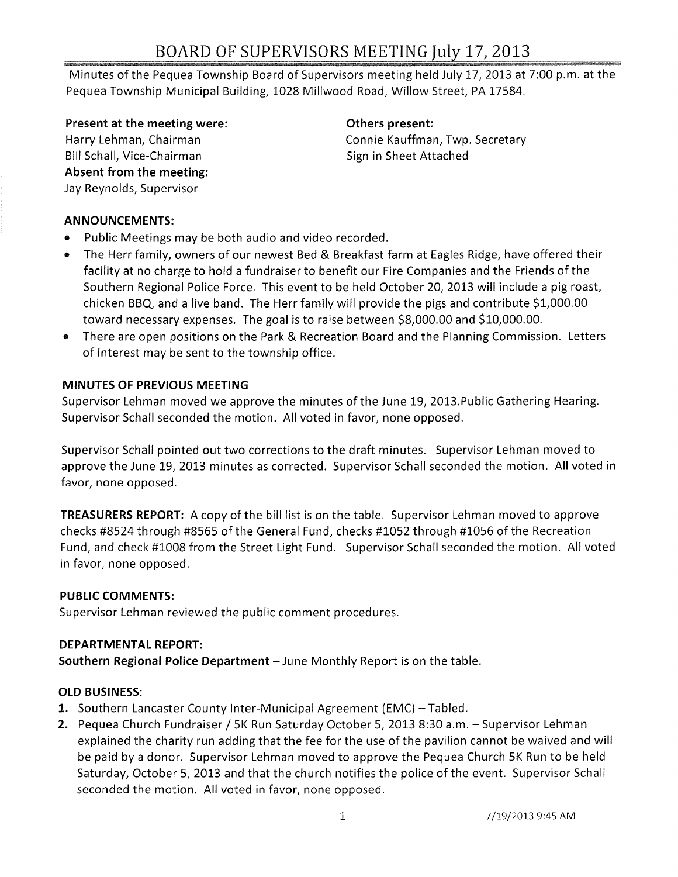## BOARD OF SUPERVISORS MEETING July 17, 2013

Minutes of the Pequea Township Board of Supervisors meeting held July 17, 2013 at 7:00 p.m. at the Pequea Township Municipal Building, 1028 Millwood Road, Willow Street, PA 17584.

Present at the meeting were: The method of Definition of Definition of Present:

Harry Lehman, Chairman Bill Schall, Vice-Chairman Absent from the meeting: Jay Reynolds, Supervisor

Connie Kauffman, Twp. Secretary Sign in Sheet Attached

#### ANNOUNCEMENTS:

- Public Meetings may be both audio and video recorded.
- The Herr family, owners of our newest Bed & Breakfast farm at Eagles Ridge, have offered their facility at no charge to hold a fundraiser to benefit our Fire Companies and the Friends of the Southern Regional Police Force. This event to be held October 20, 2013 will include a pig roast, chicken BBo, and a live band. The Herr family will provide the pigs and contribute \$1,000.00 toward necessary expenses. The goal is to raise between \$8,000.00 and \$10,000.00.
- There are open positions on the Park & Recreation Board and the Planning Commission. Letters of Interest may be sent to the township office.

#### MINUTES OF PREVIOUS MEETING

Supervisor Lehman moved we approve the minutes of the June 19, 2013.Public Gathering Hearing. Supervisor Schall seconded the motion. All voted in favor, none opposed.

Supervisor Schall pointed out two corrections to the draft minutes. Supervisor Lehman moved to approve the June 19, 2013 minutes as corrected. Supervisor Schall seconded the motion. All voted in favor, none opposed.

TREASURERS REPORT: A copy of the bill list is on the table. Supervisor Lehman moved to approve checks #8524 through #8565 of the General Fund, checks #1052 through #1056 of the Recreation Fund, and check #1008 from the Street Light Fund. Supervisor Schall seconded the motion. All voted in favor, none opposed.

#### PUBLIC COMMENTS:

Supervisor Lehman reviewed the public comment procedures.

#### DEPARTMENTAL REPORT:

Southern Regional Police Department - June Monthly Report is on the table.

#### OLD BUSINESS:

- 1. Southern Lancaster County Inter-Municipal Agreement (EMC) Tabled.
- 2. Pequea Church Fundraiser / 5K Run Saturday October 5, 2013 8:30 a.m. Supervisor Lehman explained the charity run adding that the fee for the use of the pavilion cannot be waived and will be paid by a donor. Supervisor Lehman moved to approve the Pequea Church 5K Run to be held Saturday, October 5, 2013 and that the church notifies the police of the event. Supervisor Schall seconded the motion. All voted in favor, none opposed.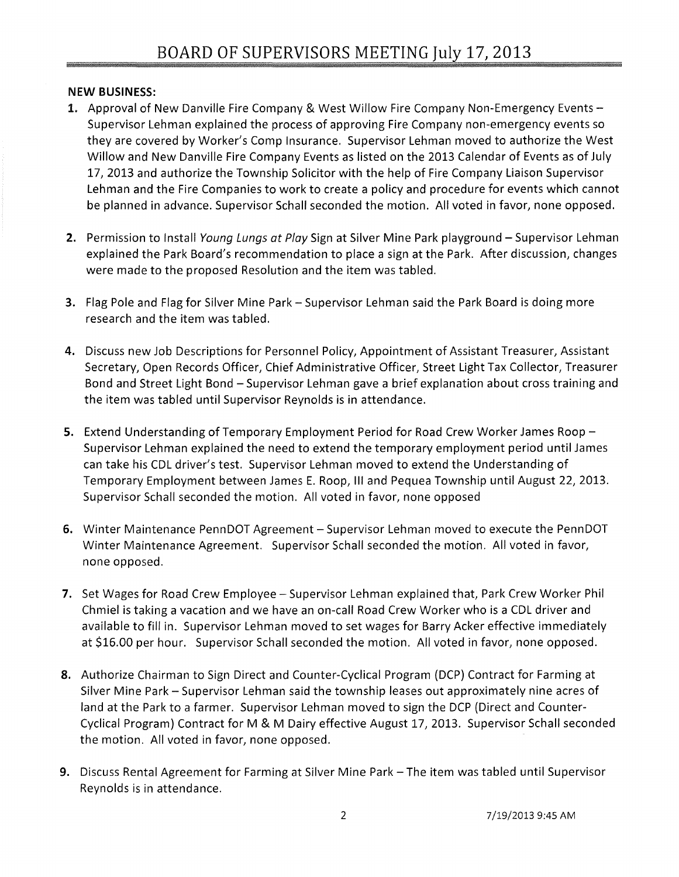#### NEW BUSINESS:

- 1. Approval of New Danville Fire Company & West Willow Fire Company Non-Emergency Events -Supervisor Lehman explained the process of approving Fire Company non-emergency events so they are covered by Worker's Comp Insurance. Supervisor Lehman moved to authorize the West Willow and New Danville Fire Company Events as listed on the 2013 Calendar of Events as of July 17,2013 and authorize the Township Solicitor with the help of Fire Company Liaison Supervisor Lehman and the Fire Companies to work to create a policy and procedure for events which cannot be planned in advance. Supervisor Schall seconded the motion. All voted in favor, none opposed.
- 2. Permission to Install Young Lungs at Play Sign at Silver Mine Park playground Supervisor Lehman explained the Park Board's recommendation to place a sign at the Park. After discussion, changes were made to the proposed Resolution and the item was tabled.
- 3. Flag Pole and Flag for Silver Mine Park Supervisor Lehman said the Park Board is doing more research and the item was tabled.
- 4. Discuss new Job Descriptions for Personnel Policy, Appointment of Assistant Treasurer, Assistant Secretary, Open Records Officer, Chief Administrative Officer, Street Light Tax Collector, Treasurer Bond and Street Light Bond - Supervisor Lehman gave a brief explanation about cross training and the item was tabled until Supervisor Reynolds is in attendance.
- 5. Extend Understanding of Temporary Employment Period for Road Crew Worker James Roop -Supervisor Lehman explained the need to extend the temporary employment period until James can take his CDL driver's test. Supervisor Lehman moved to extend the Understanding of Temporary Employment between James E. Roop, III and Pequea Township until August 22, 2013. Supervisor Schall seconded the motion. All voted in favor, none opposed
- 6. Winter Maintenance PennDOT Agreement Supervisor Lehman moved to execute the PennDOT Winter Maintenance Agreement. Supervisor Schall seconded the motion. All voted in favor, none opposed.
- 7. Set Wages for Road Crew Employee Supervisor Lehman explained that, Park Crew Worker Phil Chmiel is taking a vacation and we have an on-call Road Crew Worker who is a CDL driver and available to fill in. Supervisor Lehman moved to set wages for Barry Acker effective immediately at \$16.00 per hour. Supervisor Schall seconded the motion. All voted in favor, none opposed.
- 8. Authorize Chairman to Sign Direct and Counter-Cyclical Program (DCP) Contract for Farming at Silver Mine Park - Supervisor Lehman said the township leases out approximately nine acres of land at the Park to a farmer. Supervisor Lehman moved to sign the DCP (Direct and Counter-Cyclical Program) Contract for M & M Dairy effective August 17, 2013. Supervisor Schall seconded the motion. All voted in favor, none opposed.
- 9. Discuss Rental Agreement for Farming at Silver Mine Park The item was tabled until Supervisor Reynolds is in attendance.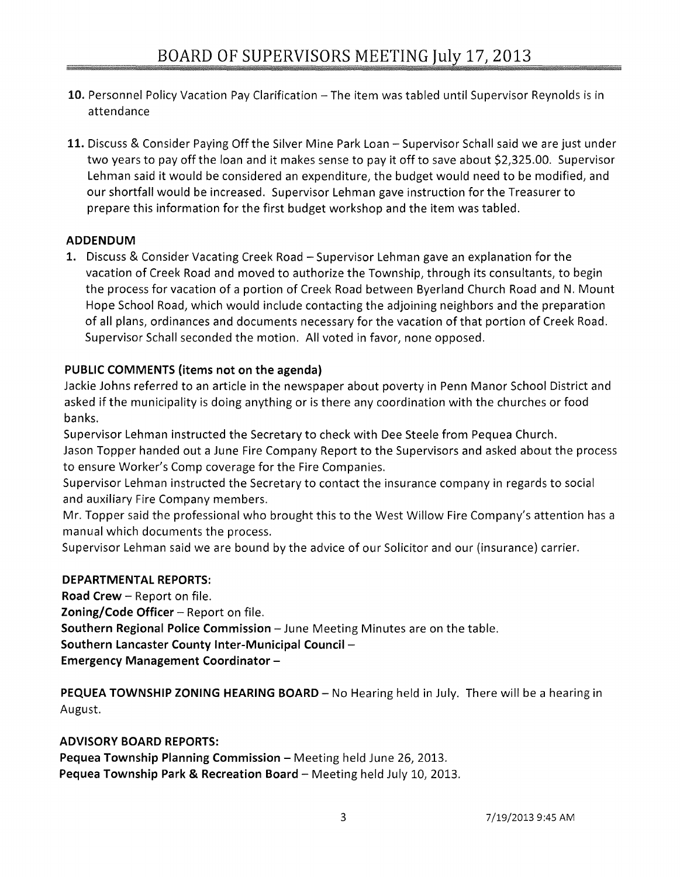- 10. Personnel Policy Vacation Pay Clarification The item was tabled until Supervisor Reynolds is in attendance
- 11. Discuss & Consider Paying Off the Silver Mine Park Loan Supervisor Schall said we are just under two years to payoff the loan and it makes sense to pay it off to save about \$2,325.00. Supervisor Lehman said it would be considered an expenditure, the budget would need to be modified, and our shortfall would be increased. Supervisor Lehman gave instruction for the Treasurer to prepare this information for the first budget workshop and the item was tabled.

### **ADDENDUM**

1. Discuss & Consider Vacating Creek Road - Supervisor Lehman gave an explanation for the vacation of Creek Road and moved to authorize the Township, through its consultants, to begin the process for vacation of a portion of Creek Road between Byerland Church Road and N. Mount Hope School Road, which would include contacting the adjoining neighbors and the preparation of all plans, ordinances and documents necessary for the vacation of that portion of Creek Road. Supervisor Schall seconded the motion. All voted in favor, none opposed.

### **PUBLIC COMMENTS** (items **not on the agenda)**

Jackie Johns referred to an article in the newspaper about poverty in Penn Manor School District and asked if the municipality is doing anything or is there any coordination with the churches or food banks.

Supervisor Lehman instructed the Secretary to check with Dee Steele from Pequea Church. Jason Topper handed out a June Fire Company Report to the Supervisors and asked about the process to ensure Worker's Comp coverage for the Fire Companies.

Supervisor Lehman instructed the Secretary to contact the insurance company in regards to social and auxiliary Fire Company members.

Mr. Topper said the professional who brought this to the West Willow Fire Company's attention has a manual which documents the process.

Supervisor Lehman said we are bound by the advice of our Solicitor and our (insurance) carrier.

#### **DEPARTMENTAL REPORTS:**

**Road Crew - Report on file. Zoning/Code Officer** - Report on file. **Southern Regional Police Commission** - June Meeting Minutes are on the table. **Southern Lancaster County Inter-Municipal Council** - **Emergency Management Coordinator -**

**PEQUEA TOWNSHIP ZONING HEARING BOARD** - No Hearing held in July. There will be a hearing in August.

#### **ADVISORY BOARD REPORTS:**

Pequea Township Planning Commission - Meeting held June 26, 2013. **Pequea Township Park & Recreation Board** - Meeting held July 10, 2013.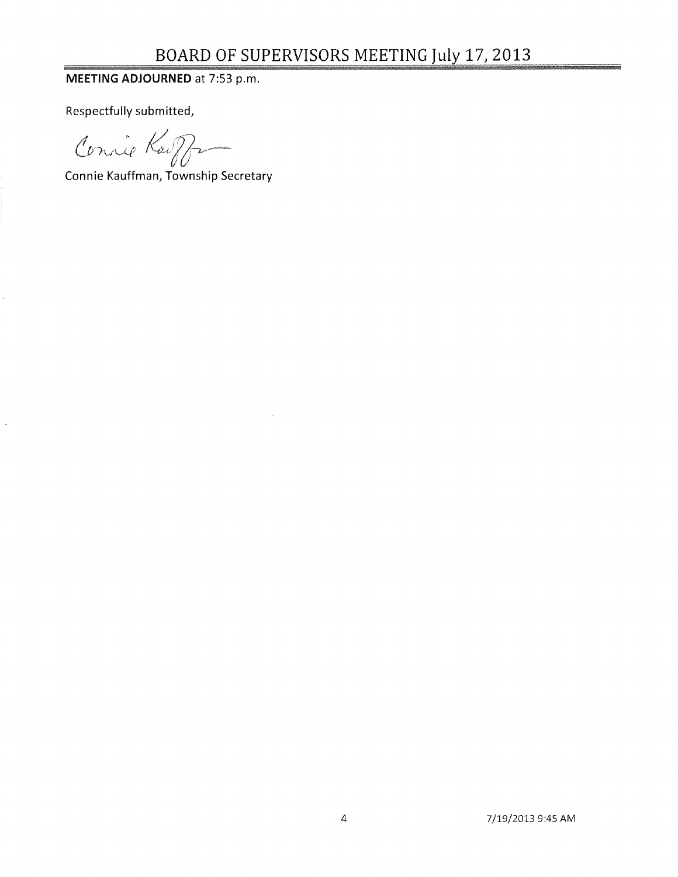# BOARD OF SUPERVISORS MEETING July 17, 2013

### MEETING ADJOURNED at 7:53 p.m.

Respectfully submitted,

Connie Kaipfr

Connie Kauffman, Township Secretary